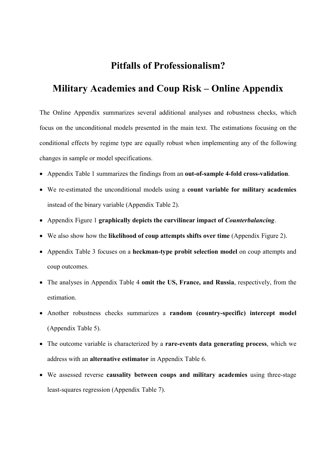## Pitfalls of Professionalism?

# Military Academies and Coup Risk – Online Appendix

The Online Appendix summarizes several additional analyses and robustness checks, which focus on the unconditional models presented in the main text. The estimations focusing on the conditional effects by regime type are equally robust when implementing any of the following changes in sample or model specifications.

- Appendix Table 1 summarizes the findings from an out-of-sample 4-fold cross-validation.
- We re-estimated the unconditional models using a count variable for military academies instead of the binary variable (Appendix Table 2).
- Appendix Figure 1 graphically depicts the curvilinear impact of *Counterbalancing*.
- We also show how the likelihood of coup attempts shifts over time (Appendix Figure 2).
- Appendix Table 3 focuses on a heckman-type probit selection model on coup attempts and coup outcomes.
- The analyses in Appendix Table 4 omit the US, France, and Russia, respectively, from the estimation.
- Another robustness checks summarizes a random (country-specific) intercept model (Appendix Table 5).
- The outcome variable is characterized by a rare-events data generating process, which we address with an alternative estimator in Appendix Table 6.
- We assessed reverse causality between coups and military academies using three-stage least-squares regression (Appendix Table 7).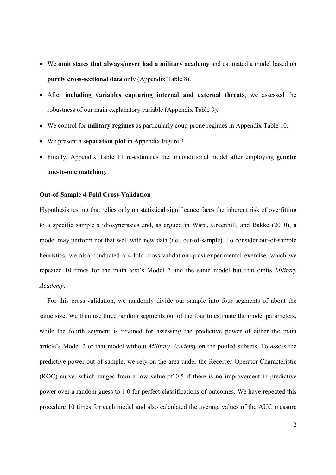- We omit states that always/never had a military academy and estimated a model based on purely cross-sectional data only (Appendix Table 8).
- After including variables capturing internal and external threats, we assessed the robustness of our main explanatory variable (Appendix Table 9).
- We control for military regimes as particularly coup-prone regimes in Appendix Table 10.
- We present a separation plot in Appendix Figure 3.
- Finally, Appendix Table 11 re-estimates the unconditional model after employing genetic one-to-one matching.

## Out-of-Sample 4-Fold Cross-Validation

Hypothesis testing that relies only on statistical significance faces the inherent risk of overfitting to a specific sample's idiosyncrasies and, as argued in Ward, Greenhill, and Bakke (2010), a model may perform not that well with new data (i.e., out-of-sample). To consider out-of-sample heuristics, we also conducted a 4-fold cross-validation quasi-experimental exercise, which we repeated 10 times for the main text's Model 2 and the same model but that omits Military Academy.

For this cross-validation, we randomly divide our sample into four segments of about the same size. We then use three random segments out of the four to estimate the model parameters, while the fourth segment is retained for assessing the predictive power of either the main article's Model 2 or that model without Military Academy on the pooled subsets. To assess the predictive power out-of-sample, we rely on the area under the Receiver Operator Characteristic (ROC) curve, which ranges from a low value of 0.5 if there is no improvement in predictive power over a random guess to 1.0 for perfect classifications of outcomes. We have repeated this procedure 10 times for each model and also calculated the average values of the AUC measure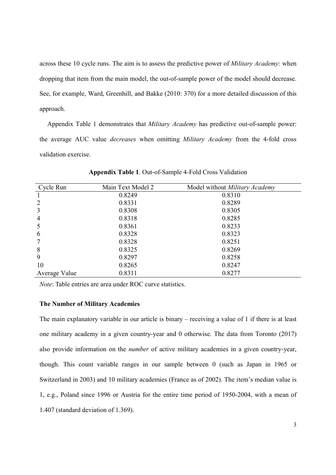across these 10 cycle runs. The aim is to assess the predictive power of *Military Academy*: when dropping that item from the main model, the out-of-sample power of the model should decrease. See, for example, Ward, Greenhill, and Bakke (2010: 370) for a more detailed discussion of this approach.

Appendix Table 1 demonstrates that *Military Academy* has predictive out-of-sample power: the average AUC value decreases when omitting Military Academy from the 4-fold cross validation exercise.

| Cycle Run      | Main Text Model 2 | Model without Military Academy |
|----------------|-------------------|--------------------------------|
|                | 0.8249            | 0.8310                         |
| $\overline{2}$ | 0.8331            | 0.8289                         |
| 3              | 0.8308            | 0.8305                         |
| $\overline{4}$ | 0.8318            | 0.8285                         |
| 5              | 0.8361            | 0.8233                         |
| 6              | 0.8328            | 0.8323                         |
| 7              | 0.8328            | 0.8251                         |
| 8              | 0.8325            | 0.8269                         |
| 9              | 0.8297            | 0.8258                         |
| 10             | 0.8265            | 0.8247                         |
| Average Value  | 0.8311            | 0.8277                         |

Appendix Table 1. Out-of-Sample 4-Fold Cross Validation

Note: Table entries are area under ROC curve statistics.

#### The Number of Military Academies

The main explanatory variable in our article is binary – receiving a value of 1 if there is at least one military academy in a given country-year and 0 otherwise. The data from Toronto (2017) also provide information on the number of active military academies in a given country-year, though. This count variable ranges in our sample between 0 (such as Japan in 1965 or Switzerland in 2003) and 10 military academies (France as of 2002). The item's median value is 1, e.g., Poland since 1996 or Austria for the entire time period of 1950-2004, with a mean of 1.407 (standard deviation of 1.369).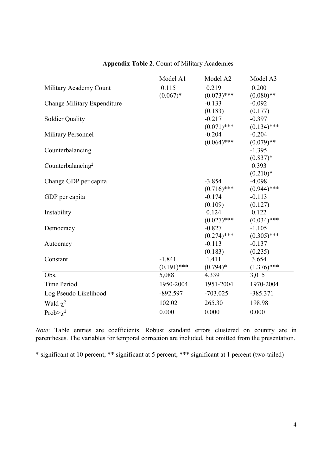|                               | Model A1      | Model A2      | Model A3      |
|-------------------------------|---------------|---------------|---------------|
| Military Academy Count        | 0.115         | 0.219         | 0.200         |
|                               | $(0.067)*$    | $(0.073)$ *** | $(0.080)$ **  |
| Change Military Expenditure   |               | $-0.133$      | $-0.092$      |
|                               |               | (0.183)       | (0.177)       |
| <b>Soldier Quality</b>        |               | $-0.217$      | $-0.397$      |
|                               |               | $(0.071)$ *** | $(0.134)$ *** |
| <b>Military Personnel</b>     |               | $-0.204$      | $-0.204$      |
|                               |               | $(0.064)$ *** | $(0.079)$ **  |
| Counterbalancing              |               |               | $-1.395$      |
|                               |               |               | $(0.837)*$    |
| Counterbalancing <sup>2</sup> |               |               | 0.393         |
|                               |               |               | $(0.210)*$    |
| Change GDP per capita         |               | $-3.854$      | $-4.098$      |
|                               |               | $(0.716)$ *** | $(0.944)$ *** |
| GDP per capita                |               | $-0.174$      | $-0.113$      |
|                               |               | (0.109)       | (0.127)       |
| Instability                   |               | 0.124         | 0.122         |
|                               |               | $(0.027)$ *** | $(0.034)$ *** |
| Democracy                     |               | $-0.827$      | $-1.105$      |
|                               |               | $(0.274)$ *** | $(0.305)$ *** |
| Autocracy                     |               | $-0.113$      | $-0.137$      |
|                               |               | (0.183)       | (0.235)       |
| Constant                      | $-1.841$      | 1.411         | 3.654         |
|                               | $(0.191)$ *** | $(0.794)*$    | $(1.376)$ *** |
| Obs.                          | 5,088         | 4,339         | 3,015         |
| Time Period                   | 1950-2004     | 1951-2004     | 1970-2004     |
| Log Pseudo Likelihood         | $-892.597$    | $-703.025$    | $-385.371$    |
| Wald $\chi^2$                 | 102.02        | 265.30        | 198.98        |
| Prob $>\chi^2$                | 0.000         | 0.000         | 0.000         |

Appendix Table 2. Count of Military Academies

Note: Table entries are coefficients. Robust standard errors clustered on country are in parentheses. The variables for temporal correction are included, but omitted from the presentation.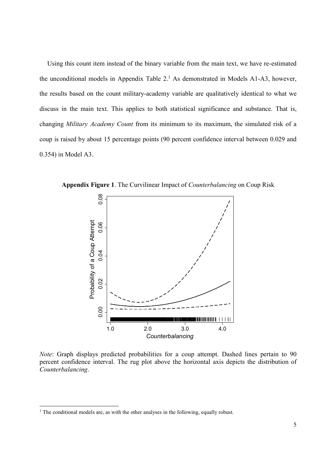Using this count item instead of the binary variable from the main text, we have re-estimated the unconditional models in Appendix Table  $2<sup>1</sup>$  As demonstrated in Models A1-A3, however, the results based on the count military-academy variable are qualitatively identical to what we discuss in the main text. This applies to both statistical significance and substance. That is, changing Military Academy Count from its minimum to its maximum, the simulated risk of a coup is raised by about 15 percentage points (90 percent confidence interval between 0.029 and 0.354) in Model A3.



Appendix Figure 1. The Curvilinear Impact of Counterbalancing on Coup Risk

Note: Graph displays predicted probabilities for a coup attempt. Dashed lines pertain to 90 percent confidence interval. The rug plot above the horizontal axis depicts the distribution of Counterbalancing.

-

 $<sup>1</sup>$  The conditional models are, as with the other analyses in the following, equally robust.</sup>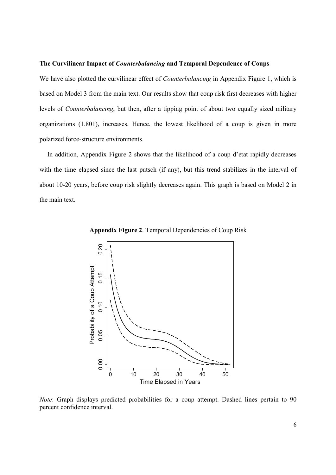#### The Curvilinear Impact of Counterbalancing and Temporal Dependence of Coups

We have also plotted the curvilinear effect of *Counterbalancing* in Appendix Figure 1, which is based on Model 3 from the main text. Our results show that coup risk first decreases with higher levels of Counterbalancing, but then, after a tipping point of about two equally sized military organizations (1.801), increases. Hence, the lowest likelihood of a coup is given in more polarized force-structure environments.

In addition, Appendix Figure 2 shows that the likelihood of a coup d'état rapidly decreases with the time elapsed since the last putsch (if any), but this trend stabilizes in the interval of about 10-20 years, before coup risk slightly decreases again. This graph is based on Model 2 in the main text.



Appendix Figure 2. Temporal Dependencies of Coup Risk

Note: Graph displays predicted probabilities for a coup attempt. Dashed lines pertain to 90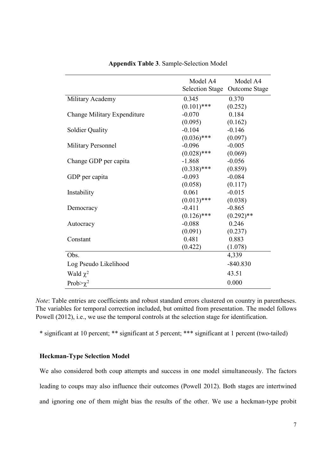|                             | Model A4      | Model A4                      |
|-----------------------------|---------------|-------------------------------|
|                             |               | Selection Stage Outcome Stage |
| Military Academy            | 0.345         | 0.370                         |
|                             | $(0.101)$ *** | (0.252)                       |
| Change Military Expenditure | $-0.070$      | 0.184                         |
|                             | (0.095)       | (0.162)                       |
| <b>Soldier Quality</b>      | $-0.104$      | $-0.146$                      |
|                             | $(0.036)$ *** | (0.097)                       |
| <b>Military Personnel</b>   | $-0.096$      | $-0.005$                      |
|                             | $(0.028)$ *** | (0.069)                       |
| Change GDP per capita       | $-1.868$      | $-0.056$                      |
|                             | $(0.338)$ *** | (0.859)                       |
| GDP per capita              | $-0.093$      | $-0.084$                      |
|                             | (0.058)       | (0.117)                       |
| Instability                 | 0.061         | $-0.015$                      |
|                             | $(0.013)$ *** | (0.038)                       |
| Democracy                   | $-0.411$      | $-0.865$                      |
|                             | $(0.126)$ *** | $(0.292)$ **                  |
| Autocracy                   | $-0.088$      | 0.246                         |
|                             | (0.091)       | (0.237)                       |
| Constant                    | 0.481         | 0.883                         |
|                             | (0.422)       | (1.078)                       |
| Obs.                        |               | 4,339                         |
| Log Pseudo Likelihood       |               | $-840.830$                    |
| Wald $\chi^2$               |               | 43.51                         |
| Prob $>\chi^2$              |               | 0.000                         |

Appendix Table 3. Sample-Selection Model

Note: Table entries are coefficients and robust standard errors clustered on country in parentheses. The variables for temporal correction included, but omitted from presentation. The model follows Powell (2012), i.e., we use the temporal controls at the selection stage for identification.

\* significant at 10 percent; \*\* significant at 5 percent; \*\*\* significant at 1 percent (two-tailed)

## Heckman-Type Selection Model

We also considered both coup attempts and success in one model simultaneously. The factors leading to coups may also influence their outcomes (Powell 2012). Both stages are intertwined and ignoring one of them might bias the results of the other. We use a heckman-type probit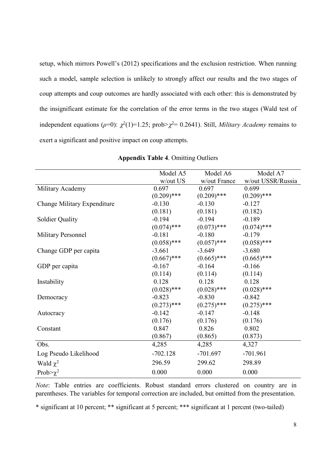setup, which mirrors Powell's (2012) specifications and the exclusion restriction. When running such a model, sample selection is unlikely to strongly affect our results and the two stages of coup attempts and coup outcomes are hardly associated with each other: this is demonstrated by the insignificant estimate for the correlation of the error terms in the two stages (Wald test of independent equations ( $\rho=0$ ):  $\chi^2(1)=1.25$ ; prob> $\chi^2=0.2641$ ). Still, *Military Academy* remains to exert a significant and positive impact on coup attempts.

|                             | Model A5      | Model A6      | Model A7          |
|-----------------------------|---------------|---------------|-------------------|
|                             | w/out US      | w/out France  | w/out USSR/Russia |
| Military Academy            | 0.697         | 0.697         | 0.699             |
|                             | $(0.209)$ *** | $(0.209)$ *** | $(0.209)$ ***     |
| Change Military Expenditure | $-0.130$      | $-0.130$      | $-0.127$          |
|                             | (0.181)       | (0.181)       | (0.182)           |
| <b>Soldier Quality</b>      | $-0.194$      | $-0.194$      | $-0.189$          |
|                             | $(0.074)$ *** | $(0.073)$ *** | $(0.074)$ ***     |
| <b>Military Personnel</b>   | $-0.181$      | $-0.180$      | $-0.179$          |
|                             | $(0.058)$ *** | $(0.057)$ *** | $(0.058)$ ***     |
| Change GDP per capita       | $-3.661$      | $-3.649$      | $-3.680$          |
|                             | $(0.667)$ *** | $(0.665)$ *** | $(0.665)$ ***     |
| GDP per capita              | $-0.167$      | $-0.164$      | $-0.166$          |
|                             | (0.114)       | (0.114)       | (0.114)           |
| Instability                 | 0.128         | 0.128         | 0.128             |
|                             | $(0.028)$ *** | $(0.028)$ *** | $(0.028)$ ***     |
| Democracy                   | $-0.823$      | $-0.830$      | $-0.842$          |
|                             | $(0.273)$ *** | $(0.275)$ *** | $(0.275)$ ***     |
| Autocracy                   | $-0.142$      | $-0.147$      | $-0.148$          |
|                             | (0.176)       | (0.176)       | (0.176)           |
| Constant                    | 0.847         | 0.826         | 0.802             |
|                             | (0.867)       | (0.865)       | (0.873)           |
| Obs.                        | 4,285         | 4,285         | 4,327             |
| Log Pseudo Likelihood       | $-702.128$    | $-701.697$    | $-701.961$        |
| Wald $\chi^2$               | 296.59        | 299.62        | 298.89            |
| Prob $>\chi^2$              | 0.000         | 0.000         | 0.000             |

| <b>Appendix Table 4. Omitting Outliers</b> |  |  |
|--------------------------------------------|--|--|
|                                            |  |  |

Note: Table entries are coefficients. Robust standard errors clustered on country are in parentheses. The variables for temporal correction are included, but omitted from the presentation.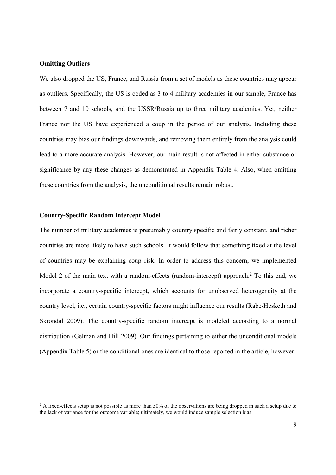## **Omitting Outliers**

-

We also dropped the US, France, and Russia from a set of models as these countries may appear as outliers. Specifically, the US is coded as 3 to 4 military academies in our sample, France has between 7 and 10 schools, and the USSR/Russia up to three military academies. Yet, neither France nor the US have experienced a coup in the period of our analysis. Including these countries may bias our findings downwards, and removing them entirely from the analysis could lead to a more accurate analysis. However, our main result is not affected in either substance or significance by any these changes as demonstrated in Appendix Table 4. Also, when omitting these countries from the analysis, the unconditional results remain robust.

## Country-Specific Random Intercept Model

The number of military academies is presumably country specific and fairly constant, and richer countries are more likely to have such schools. It would follow that something fixed at the level of countries may be explaining coup risk. In order to address this concern, we implemented Model 2 of the main text with a random-effects (random-intercept) approach.<sup>2</sup> To this end, we incorporate a country-specific intercept, which accounts for unobserved heterogeneity at the country level, i.e., certain country-specific factors might influence our results (Rabe-Hesketh and Skrondal 2009). The country-specific random intercept is modeled according to a normal distribution (Gelman and Hill 2009). Our findings pertaining to either the unconditional models (Appendix Table 5) or the conditional ones are identical to those reported in the article, however.

 $2$  A fixed-effects setup is not possible as more than 50% of the observations are being dropped in such a setup due to the lack of variance for the outcome variable; ultimately, we would induce sample selection bias.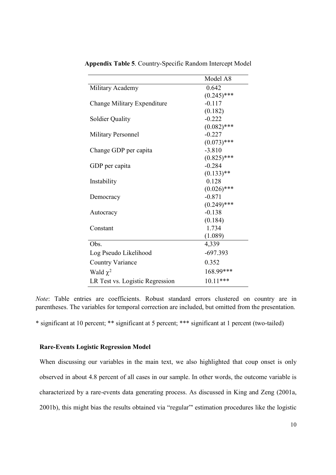|                                 | Model A8      |
|---------------------------------|---------------|
| Military Academy                | 0.642         |
|                                 | $(0.245)$ *** |
| Change Military Expenditure     | $-0.117$      |
|                                 | (0.182)       |
| Soldier Quality                 | $-0.222$      |
|                                 | $(0.082)$ *** |
| Military Personnel              | $-0.227$      |
|                                 | $(0.073)$ *** |
| Change GDP per capita           | $-3.810$      |
|                                 | $(0.825)$ *** |
| GDP per capita                  | $-0.284$      |
|                                 | $(0.133)$ **  |
| Instability                     | 0.128         |
|                                 | $(0.026)$ *** |
| Democracy                       | $-0.871$      |
|                                 | $(0.249)$ *** |
| Autocracy                       | $-0.138$      |
|                                 | (0.184)       |
| Constant                        | 1.734         |
|                                 | (1.089)       |
| Obs.                            | 4,339         |
| Log Pseudo Likelihood           | $-697.393$    |
| <b>Country Variance</b>         | 0.352         |
| Wald $\chi^2$                   | 168.99***     |
| LR Test vs. Logistic Regression | $10.11***$    |

Appendix Table 5. Country-Specific Random Intercept Model

Note: Table entries are coefficients. Robust standard errors clustered on country are in parentheses. The variables for temporal correction are included, but omitted from the presentation.

\* significant at 10 percent; \*\* significant at 5 percent; \*\*\* significant at 1 percent (two-tailed)

## Rare-Events Logistic Regression Model

When discussing our variables in the main text, we also highlighted that coup onset is only observed in about 4.8 percent of all cases in our sample. In other words, the outcome variable is characterized by a rare-events data generating process. As discussed in King and Zeng (2001a, 2001b), this might bias the results obtained via "regular"' estimation procedures like the logistic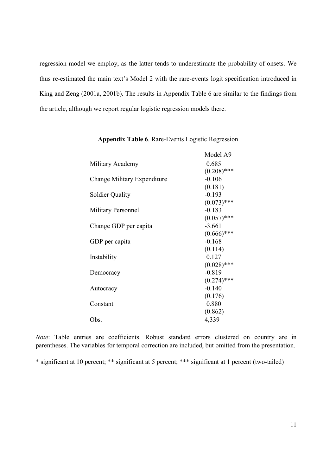regression model we employ, as the latter tends to underestimate the probability of onsets. We thus re-estimated the main text's Model 2 with the rare-events logit specification introduced in King and Zeng (2001a, 2001b). The results in Appendix Table 6 are similar to the findings from the article, although we report regular logistic regression models there.

|                             | Model A9      |
|-----------------------------|---------------|
| Military Academy            | 0.685         |
|                             | $(0.208)$ *** |
| Change Military Expenditure | $-0.106$      |
|                             | (0.181)       |
| <b>Soldier Quality</b>      | $-0.193$      |
|                             | $(0.073)$ *** |
| Military Personnel          | $-0.183$      |
|                             | $(0.057)$ *** |
| Change GDP per capita       | $-3.661$      |
|                             | $(0.666)$ *** |
| GDP per capita              | $-0.168$      |
|                             | (0.114)       |
| Instability                 | 0.127         |
|                             | $(0.028)$ *** |
| Democracy                   | $-0.819$      |
|                             | $(0.274)$ *** |
| Autocracy                   | $-0.140$      |
|                             | (0.176)       |
| Constant                    | 0.880         |
|                             | (0.862)       |
| Obs.                        | 4,339         |

Appendix Table 6. Rare-Events Logistic Regression

Note: Table entries are coefficients. Robust standard errors clustered on country are in parentheses. The variables for temporal correction are included, but omitted from the presentation.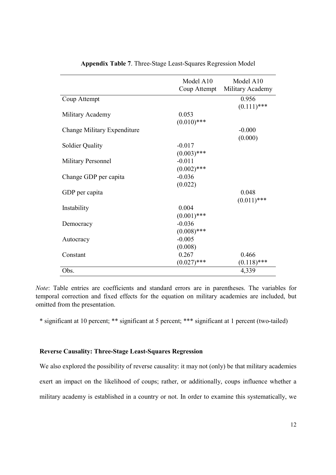|                             | Model A10<br>Coup Attempt | Model A10<br>Military Academy |
|-----------------------------|---------------------------|-------------------------------|
| Coup Attempt                |                           | 0.956<br>$(0.111)$ ***        |
| Military Academy            | 0.053<br>$(0.010)$ ***    |                               |
| Change Military Expenditure |                           | $-0.000$<br>(0.000)           |
| <b>Soldier Quality</b>      | $-0.017$<br>$(0.003)$ *** |                               |
| <b>Military Personnel</b>   | $-0.011$<br>$(0.002)$ *** |                               |
| Change GDP per capita       | $-0.036$<br>(0.022)       |                               |
| GDP per capita              |                           | 0.048<br>$(0.011)$ ***        |
| Instability                 | 0.004<br>$(0.001)$ ***    |                               |
| Democracy                   | $-0.036$<br>$(0.008)$ *** |                               |
| Autocracy                   | $-0.005$<br>(0.008)       |                               |
| Constant                    | 0.267<br>***<br>(0.027    | 0.466<br>$(0.118)$ ***        |
| Obs.                        |                           | 4,339                         |

Appendix Table 7. Three-Stage Least-Squares Regression Model

Note: Table entries are coefficients and standard errors are in parentheses. The variables for temporal correction and fixed effects for the equation on military academies are included, but omitted from the presentation.

\* significant at 10 percent; \*\* significant at 5 percent; \*\*\* significant at 1 percent (two-tailed)

## Reverse Causality: Three-Stage Least-Squares Regression

We also explored the possibility of reverse causality: it may not (only) be that military academies exert an impact on the likelihood of coups; rather, or additionally, coups influence whether a military academy is established in a country or not. In order to examine this systematically, we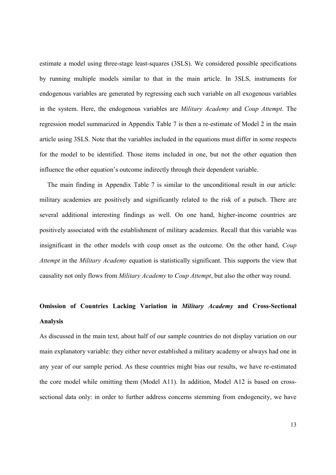estimate a model using three-stage least-squares (3SLS). We considered possible specifications by running multiple models similar to that in the main article. In 3SLS, instruments for endogenous variables are generated by regressing each such variable on all exogenous variables in the system. Here, the endogenous variables are Military Academy and Coup Attempt. The regression model summarized in Appendix Table 7 is then a re-estimate of Model 2 in the main article using 3SLS. Note that the variables included in the equations must differ in some respects for the model to be identified. Those items included in one, but not the other equation then influence the other equation's outcome indirectly through their dependent variable.

The main finding in Appendix Table 7 is similar to the unconditional result in our article: military academies are positively and significantly related to the risk of a putsch. There are several additional interesting findings as well. On one hand, higher-income countries are positively associated with the establishment of military academies. Recall that this variable was insignificant in the other models with coup onset as the outcome. On the other hand, Coup Attempt in the Military Academy equation is statistically significant. This supports the view that causality not only flows from *Military Academy* to *Coup Attempt*, but also the other way round.

# Omission of Countries Lacking Variation in Military Academy and Cross-Sectional Analysis

As discussed in the main text, about half of our sample countries do not display variation on our main explanatory variable: they either never established a military academy or always had one in any year of our sample period. As these countries might bias our results, we have re-estimated the core model while omitting them (Model A11). In addition, Model A12 is based on crosssectional data only: in order to further address concerns stemming from endogeneity, we have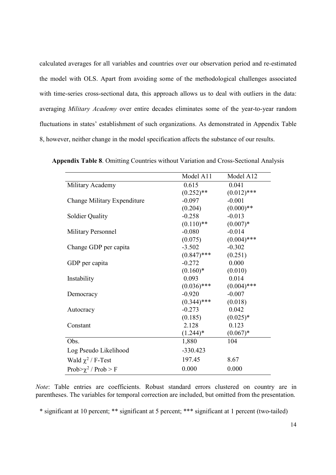calculated averages for all variables and countries over our observation period and re-estimated the model with OLS. Apart from avoiding some of the methodological challenges associated with time-series cross-sectional data, this approach allows us to deal with outliers in the data: averaging Military Academy over entire decades eliminates some of the year-to-year random fluctuations in states' establishment of such organizations. As demonstrated in Appendix Table 8, however, neither change in the model specification affects the substance of our results.

|                             | Model A11     | Model A12     |
|-----------------------------|---------------|---------------|
| Military Academy            | 0.615         | 0.041         |
|                             | $(0.252)$ **  | $(0.012)$ *** |
| Change Military Expenditure | $-0.097$      | $-0.001$      |
|                             | (0.204)       | $(0.000)**$   |
| <b>Soldier Quality</b>      | $-0.258$      | $-0.013$      |
|                             | $(0.110)$ **  | $(0.007)*$    |
| <b>Military Personnel</b>   | $-0.080$      | $-0.014$      |
|                             | (0.075)       | $(0.004)$ *** |
| Change GDP per capita       | $-3.502$      | $-0.302$      |
|                             | $(0.847)$ *** | (0.251)       |
| GDP per capita              | $-0.272$      | 0.000         |
|                             | $(0.160)^*$   | (0.010)       |
| Instability                 | 0.093         | 0.014         |
|                             | $(0.036)$ *** | $(0.004)$ *** |
| Democracy                   | $-0.920$      | $-0.007$      |
|                             | $(0.344)$ *** | (0.018)       |
| Autocracy                   | $-0.273$      | 0.042         |
|                             | (0.185)       | $(0.025)^*$   |
| Constant                    | 2.128         | 0.123         |
|                             | $(1.244)^*$   | $(0.067)*$    |
| Obs.                        | 1,880         | 104           |
| Log Pseudo Likelihood       | $-330.423$    |               |
| Wald $\chi^2$ / F-Test      | 197.45        | 8.67          |
| Prob> $\chi^2$ / Prob > F   | 0.000         | 0.000         |

Appendix Table 8. Omitting Countries without Variation and Cross-Sectional Analysis

Note: Table entries are coefficients. Robust standard errors clustered on country are in parentheses. The variables for temporal correction are included, but omitted from the presentation.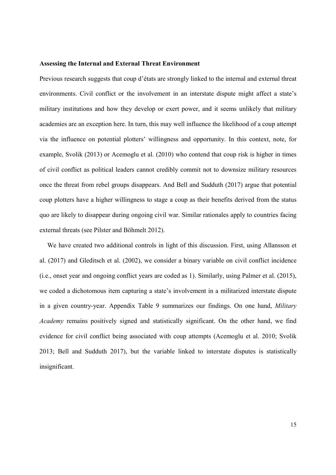## Assessing the Internal and External Threat Environment

Previous research suggests that coup d'états are strongly linked to the internal and external threat environments. Civil conflict or the involvement in an interstate dispute might affect a state's military institutions and how they develop or exert power, and it seems unlikely that military academies are an exception here. In turn, this may well influence the likelihood of a coup attempt via the influence on potential plotters' willingness and opportunity. In this context, note, for example, Svolik (2013) or Acemoglu et al. (2010) who contend that coup risk is higher in times of civil conflict as political leaders cannot credibly commit not to downsize military resources once the threat from rebel groups disappears. And Bell and Sudduth (2017) argue that potential coup plotters have a higher willingness to stage a coup as their benefits derived from the status quo are likely to disappear during ongoing civil war. Similar rationales apply to countries facing external threats (see Pilster and Böhmelt 2012).

We have created two additional controls in light of this discussion. First, using Allansson et al. (2017) and Gleditsch et al. (2002), we consider a binary variable on civil conflict incidence (i.e., onset year and ongoing conflict years are coded as 1). Similarly, using Palmer et al. (2015), we coded a dichotomous item capturing a state's involvement in a militarized interstate dispute in a given country-year. Appendix Table 9 summarizes our findings. On one hand, Military Academy remains positively signed and statistically significant. On the other hand, we find evidence for civil conflict being associated with coup attempts (Acemoglu et al. 2010; Svolik 2013; Bell and Sudduth 2017), but the variable linked to interstate disputes is statistically insignificant.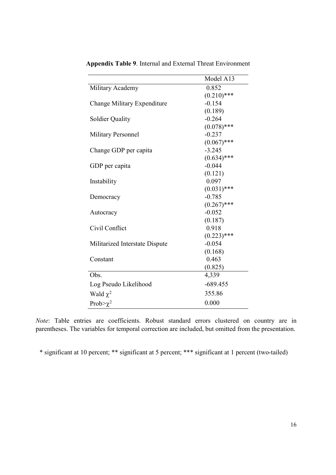|                                | Model A13     |
|--------------------------------|---------------|
| Military Academy               | 0.852         |
|                                | $(0.210)$ *** |
| Change Military Expenditure    | $-0.154$      |
|                                | (0.189)       |
| <b>Soldier Quality</b>         | $-0.264$      |
|                                | $(0.078)$ *** |
| <b>Military Personnel</b>      | $-0.237$      |
|                                | $(0.067)$ *** |
| Change GDP per capita          | $-3.245$      |
|                                | $(0.634)$ *** |
| GDP per capita                 | $-0.044$      |
|                                | (0.121)       |
| Instability                    | 0.097         |
|                                | $(0.031)$ *** |
| Democracy                      | $-0.785$      |
|                                | $(0.267)$ *** |
| Autocracy                      | $-0.052$      |
|                                | (0.187)       |
| Civil Conflict                 | 0.918         |
|                                | $(0.223)$ *** |
| Militarized Interstate Dispute | $-0.054$      |
|                                | (0.168)       |
| Constant                       | 0.463         |
|                                | (0.825)       |
| Obs.                           | 4,339         |
| Log Pseudo Likelihood          | $-689.455$    |
| Wald $\chi^2$                  | 355.86        |
| Prob $>\chi^2$                 | 0.000         |

Appendix Table 9. Internal and External Threat Environment

Note: Table entries are coefficients. Robust standard errors clustered on country are in parentheses. The variables for temporal correction are included, but omitted from the presentation.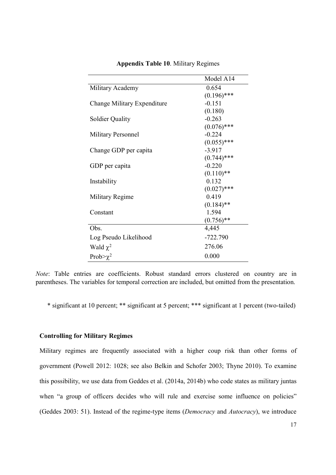|                             | Model A14     |
|-----------------------------|---------------|
| Military Academy            | 0.654         |
|                             | $(0.196)$ *** |
| Change Military Expenditure | $-0.151$      |
|                             | (0.180)       |
| <b>Soldier Quality</b>      | $-0.263$      |
|                             | $(0.076)$ *** |
| <b>Military Personnel</b>   | $-0.224$      |
|                             | $(0.055)$ *** |
| Change GDP per capita       | $-3.917$      |
|                             | $(0.744)$ *** |
| GDP per capita              | $-0.220$      |
|                             | $(0.110)$ **  |
| Instability                 | 0.132         |
|                             | $(0.027)$ *** |
| Military Regime             | 0.419         |
|                             | $(0.184)$ **  |
| Constant                    | 1.594         |
|                             | $(0.756)$ **  |
| Obs.                        | 4,445         |
| Log Pseudo Likelihood       | $-722.790$    |
| Wald $\chi^2$               | 276.06        |
| Prob $\geq \chi^2$          | 0.000         |

## Appendix Table 10. Military Regimes

Note: Table entries are coefficients. Robust standard errors clustered on country are in parentheses. The variables for temporal correction are included, but omitted from the presentation.

\* significant at 10 percent; \*\* significant at 5 percent; \*\*\* significant at 1 percent (two-tailed)

#### Controlling for Military Regimes

Military regimes are frequently associated with a higher coup risk than other forms of government (Powell 2012: 1028; see also Belkin and Schofer 2003; Thyne 2010). To examine this possibility, we use data from Geddes et al. (2014a, 2014b) who code states as military juntas when "a group of officers decides who will rule and exercise some influence on policies" (Geddes 2003: 51). Instead of the regime-type items (Democracy and Autocracy), we introduce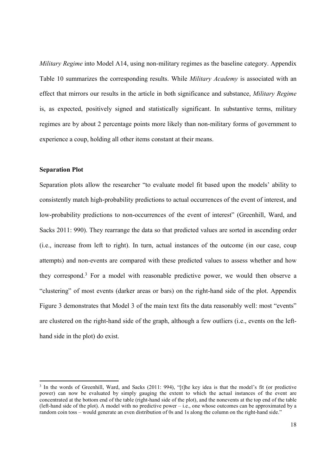Military Regime into Model A14, using non-military regimes as the baseline category. Appendix Table 10 summarizes the corresponding results. While Military Academy is associated with an effect that mirrors our results in the article in both significance and substance, Military Regime is, as expected, positively signed and statistically significant. In substantive terms, military regimes are by about 2 percentage points more likely than non-military forms of government to experience a coup, holding all other items constant at their means.

## Separation Plot

-

Separation plots allow the researcher "to evaluate model fit based upon the models' ability to consistently match high-probability predictions to actual occurrences of the event of interest, and low-probability predictions to non-occurrences of the event of interest" (Greenhill, Ward, and Sacks 2011: 990). They rearrange the data so that predicted values are sorted in ascending order (i.e., increase from left to right). In turn, actual instances of the outcome (in our case, coup attempts) and non-events are compared with these predicted values to assess whether and how they correspond.<sup>3</sup> For a model with reasonable predictive power, we would then observe a "clustering" of most events (darker areas or bars) on the right-hand side of the plot. Appendix Figure 3 demonstrates that Model 3 of the main text fits the data reasonably well: most "events" are clustered on the right-hand side of the graph, although a few outliers (i.e., events on the lefthand side in the plot) do exist.

<sup>&</sup>lt;sup>3</sup> In the words of Greenhill, Ward, and Sacks (2011: 994), "[t]he key idea is that the model's fit (or predictive power) can now be evaluated by simply gauging the extent to which the actual instances of the event are concentrated at the bottom end of the table (right-hand side of the plot), and the nonevents at the top end of the table (left-hand side of the plot). A model with no predictive power – i.e., one whose outcomes can be approximated by a random coin toss – would generate an even distribution of 0s and 1s along the column on the right-hand side."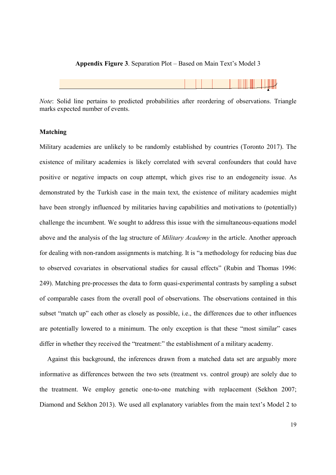#### Appendix Figure 3. Separation Plot – Based on Main Text's Model 3



Note: Solid line pertains to predicted probabilities after reordering of observations. Triangle marks expected number of events.

#### Matching

Military academies are unlikely to be randomly established by countries (Toronto 2017). The existence of military academies is likely correlated with several confounders that could have positive or negative impacts on coup attempt, which gives rise to an endogeneity issue. As demonstrated by the Turkish case in the main text, the existence of military academies might have been strongly influenced by militaries having capabilities and motivations to (potentially) challenge the incumbent. We sought to address this issue with the simultaneous-equations model above and the analysis of the lag structure of Military Academy in the article. Another approach for dealing with non-random assignments is matching. It is "a methodology for reducing bias due to observed covariates in observational studies for causal effects" (Rubin and Thomas 1996: 249). Matching pre-processes the data to form quasi-experimental contrasts by sampling a subset of comparable cases from the overall pool of observations. The observations contained in this subset "match up" each other as closely as possible, i.e., the differences due to other influences are potentially lowered to a minimum. The only exception is that these "most similar" cases differ in whether they received the "treatment:" the establishment of a military academy.

Against this background, the inferences drawn from a matched data set are arguably more informative as differences between the two sets (treatment vs. control group) are solely due to the treatment. We employ genetic one-to-one matching with replacement (Sekhon 2007; Diamond and Sekhon 2013). We used all explanatory variables from the main text's Model 2 to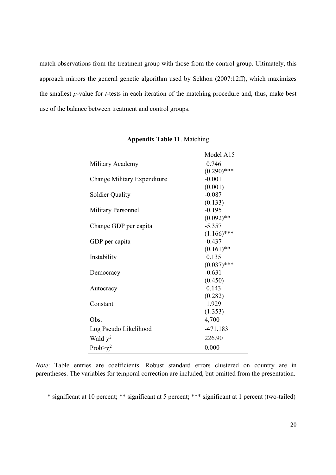match observations from the treatment group with those from the control group. Ultimately, this approach mirrors the general genetic algorithm used by Sekhon (2007:12ff), which maximizes the smallest  $p$ -value for  $t$ -tests in each iteration of the matching procedure and, thus, make best use of the balance between treatment and control groups.

|                             | Model A15     |
|-----------------------------|---------------|
| Military Academy            | 0.746         |
|                             | $(0.290)$ *** |
| Change Military Expenditure | $-0.001$      |
|                             | (0.001)       |
| <b>Soldier Quality</b>      | $-0.087$      |
|                             | (0.133)       |
| Military Personnel          | $-0.195$      |
|                             | $(0.092)$ **  |
| Change GDP per capita       | $-5.357$      |
|                             | $(1.166)$ *** |
| GDP per capita              | $-0.437$      |
|                             | $(0.161)$ **  |
| Instability                 | 0.135         |
|                             | $(0.037)$ *** |
| Democracy                   | $-0.631$      |
|                             | (0.450)       |
| Autocracy                   | 0.143         |
|                             | (0.282)       |
| Constant                    | 1.929         |
|                             | (1.353)       |
| Obs.                        | 4,700         |
| Log Pseudo Likelihood       | $-471.183$    |
| Wald $\chi^2$               | 226.90        |
| Prob $>\chi^2$              | 0.000         |

Appendix Table 11. Matching

Note: Table entries are coefficients. Robust standard errors clustered on country are in parentheses. The variables for temporal correction are included, but omitted from the presentation.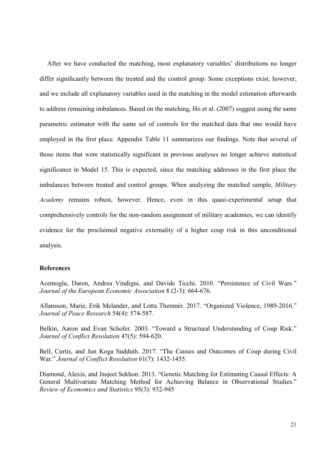After we have conducted the matching, most explanatory variables' distributions no longer differ significantly between the treated and the control group. Some exceptions exist, however, and we include all explanatory variables used in the matching in the model estimation afterwards to address remaining imbalances. Based on the matching, Ho et al. (2007) suggest using the same parametric estimator with the same set of controls for the matched data that one would have employed in the first place. Appendix Table 11 summarizes our findings. Note that several of those items that were statistically significant in previous analyses no longer achieve statistical significance in Model 15. This is expected, since the matching addresses in the first place the imbalances between treated and control groups. When analyzing the matched sample, Military Academy remains robust, however. Hence, even in this quasi-experimental setup that comprehensively controls for the non-random assignment of military academies, we can identify evidence for the proclaimed negative externality of a higher coup risk in this unconditional analysis.

## References

Acemoglu, Daron, Andrea Vindigni, and Davide Ticchi. 2010. "Persistence of Civil Wars." Journal of the European Economic Association 8 (2-3): 664-676.

Allansson, Marie, Erik Melander, and Lotta Themnér. 2017. "Organized Violence, 1989-2016." Journal of Peace Research 54(4): 574-587.

Belkin, Aaron and Evan Schofer. 2003. "Toward a Structural Understanding of Coup Risk." Journal of Conflict Resolution 47(5): 594-620.

Bell, Curtis, and Jun Koga Sudduth. 2017. "The Causes and Outcomes of Coup during Civil War." Journal of Conflict Resolution 61(7): 1432-1455.

Diamond, Alexis, and Jasjeet Sekhon. 2013. "Genetic Matching for Estimating Causal Effects: A General Multivariate Matching Method for Achieving Balance in Observational Studies." Review of Economics and Statistics 95(3): 932-945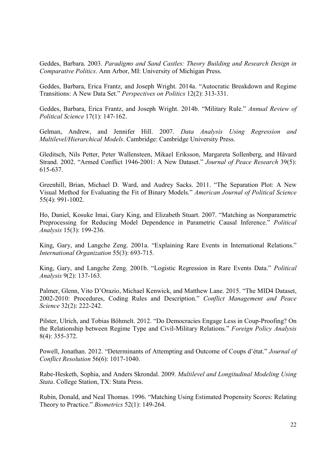Geddes, Barbara. 2003. Paradigms and Sand Castles: Theory Building and Research Design in Comparative Politics. Ann Arbor, MI: University of Michigan Press.

Geddes, Barbara, Erica Frantz, and Joseph Wright. 2014a. "Autocratic Breakdown and Regime Transitions: A New Data Set." Perspectives on Politics 12(2): 313-331.

Geddes, Barbara, Erica Frantz, and Joseph Wright. 2014b. "Military Rule." Annual Review of Political Science 17(1): 147-162.

Gelman, Andrew, and Jennifer Hill. 2007. Data Analysis Using Regression and Multilevel/Hierarchical Models. Cambridge: Cambridge University Press.

Gleditsch, Nils Petter, Peter Wallensteen, Mikael Eriksson, Margareta Sollenberg, and Håvard Strand. 2002. "Armed Conflict 1946-2001: A New Dataset." Journal of Peace Research 39(5): 615-637.

Greenhill, Brian, Michael D. Ward, and Audrey Sacks. 2011. "The Separation Plot: A New Visual Method for Evaluating the Fit of Binary Models." American Journal of Political Science 55(4): 991-1002.

Ho, Daniel, Kosuke Imai, Gary King, and Elizabeth Stuart. 2007. "Matching as Nonparametric Preprocessing for Reducing Model Dependence in Parametric Causal Inference." Political Analysis 15(3): 199-236.

King, Gary, and Langche Zeng. 2001a. "Explaining Rare Events in International Relations." International Organization 55(3): 693-715.

King, Gary, and Langche Zeng. 2001b. "Logistic Regression in Rare Events Data." Political Analysis 9(2): 137-163.

Palmer, Glenn, Vito D'Orazio, Michael Kenwick, and Matthew Lane. 2015. "The MID4 Dataset, 2002-2010: Procedures, Coding Rules and Description." Conflict Management and Peace Science 32(2): 222-242.

Pilster, Ulrich, and Tobias Böhmelt. 2012. "Do Democracies Engage Less in Coup-Proofing? On the Relationship between Regime Type and Civil-Military Relations." Foreign Policy Analysis 8(4): 355-372.

Powell, Jonathan. 2012. "Determinants of Attempting and Outcome of Coups d'état." Journal of Conflict Resolution 56(6): 1017-1040.

Rabe-Hesketh, Sophia, and Anders Skrondal. 2009. Multilevel and Longitudinal Modeling Using Stata. College Station, TX: Stata Press.

Rubin, Donald, and Neal Thomas. 1996. "Matching Using Estimated Propensity Scores: Relating Theory to Practice." Biometrics 52(1): 149-264.